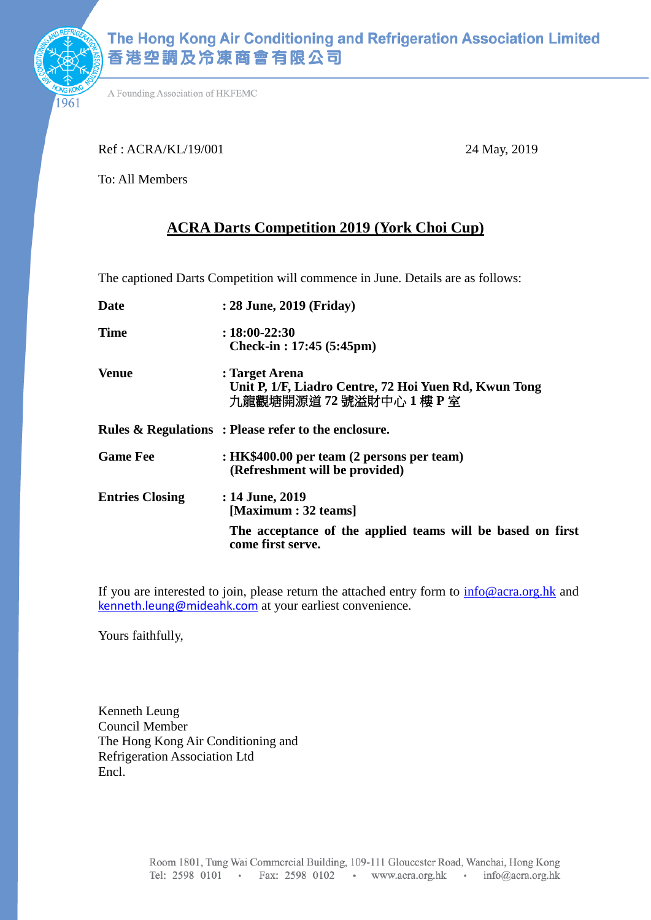

961

A Founding Association of HKFEMC

Ref : ACRA/KL/19/001 24 May, 2019

To: All Members

### **ACRA Darts Competition 2019 (York Choi Cup)**

The captioned Darts Competition will commence in June. Details are as follows:

| <b>Date</b>            | : 28 June, 2019 (Friday)                                                                         |  |  |
|------------------------|--------------------------------------------------------------------------------------------------|--|--|
| <b>Time</b>            | $: 18:00 - 22:30$<br>Check-in : $17:45(5:45pm)$                                                  |  |  |
| <b>Venue</b>           | : Target Arena<br>Unit P, 1/F, Liadro Centre, 72 Hoi Yuen Rd, Kwun Tong<br>九龍觀塘開源道 72號溢財中心 1樓 P室 |  |  |
|                        | Rules & Regulations: Please refer to the enclosure.                                              |  |  |
| <b>Game Fee</b>        | : HK\$400.00 per team (2 persons per team)<br>(Refreshment will be provided)                     |  |  |
| <b>Entries Closing</b> | : 14 June, 2019<br>[Maximum : 32 teams]                                                          |  |  |
|                        | The acceptance of the applied teams will be based on first<br>come first serve.                  |  |  |

If you are interested to join, please return the attached entry form to [info@acra.org.hk](mailto:info@acra.org.hk) and [kenneth.leung@mideahk.com](mailto:kenneth.leung@mideahk.com) at your earliest convenience.

Yours faithfully,

Kenneth Leung Council Member The Hong Kong Air Conditioning and Refrigeration Association Ltd Encl.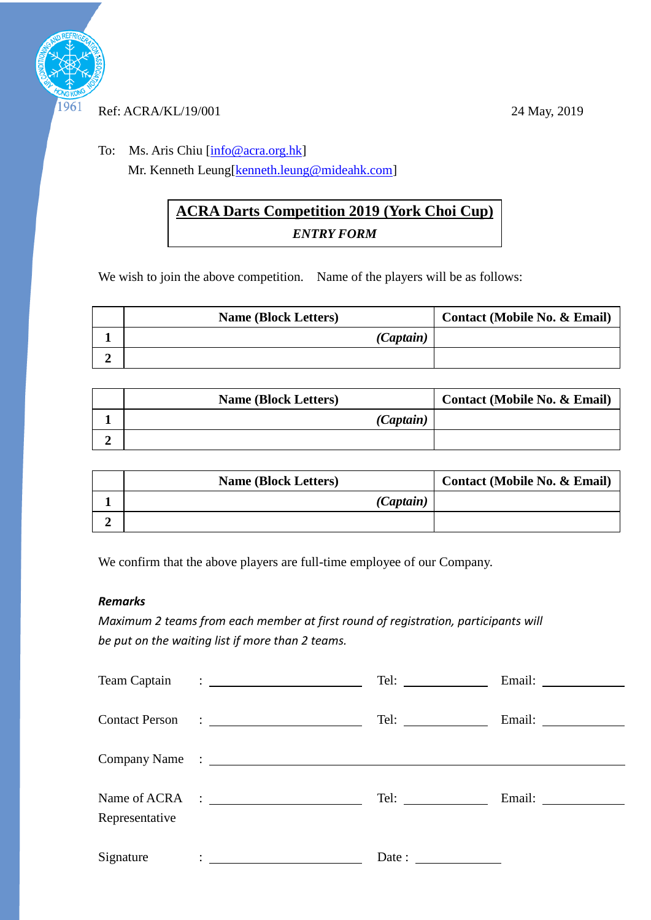

#### Ref: ACRA/KL/19/001 24 May, 2019

To: Ms. Aris Chiu [\[info@acra.org.hk\]](mailto:info@acra.org.hk) Mr. Kenneth Leung[kenneth.leung@mideahk.com]

## **ACRA Darts Competition 2019 (York Choi Cup)** *ENTRY FORM*

We wish to join the above competition. Name of the players will be as follows:

| <b>Name (Block Letters)</b> | <b>Contact (Mobile No. &amp; Email)</b> |
|-----------------------------|-----------------------------------------|
| (Captain)                   |                                         |
|                             |                                         |

| <b>Name (Block Letters)</b> | <b>Contact (Mobile No. &amp; Email)</b> |
|-----------------------------|-----------------------------------------|
| (Captain)                   |                                         |
|                             |                                         |

| <b>Name (Block Letters)</b> | <b>Contact (Mobile No. &amp; Email)</b> |
|-----------------------------|-----------------------------------------|
| (Captain)                   |                                         |
|                             |                                         |

We confirm that the above players are full-time employee of our Company.

### *Remarks*

*Maximum 2 teams from each member at first round of registration, participants will be put on the waiting list if more than 2 teams.*

| Team Captain   | <u> 1989 - Johann Stein, fransk politik (d. 1989)</u>                                                                  |                                                          |  |
|----------------|------------------------------------------------------------------------------------------------------------------------|----------------------------------------------------------|--|
|                |                                                                                                                        | Tel: $\qquad \qquad$                                     |  |
|                |                                                                                                                        |                                                          |  |
| Representative |                                                                                                                        | Tel: $\qquad \qquad$                                     |  |
| Signature      | <u>in the community of the community of the community of the community of the community of the community of the co</u> | Date: $\frac{1}{\sqrt{1-\frac{1}{2}} \cdot \frac{1}{2}}$ |  |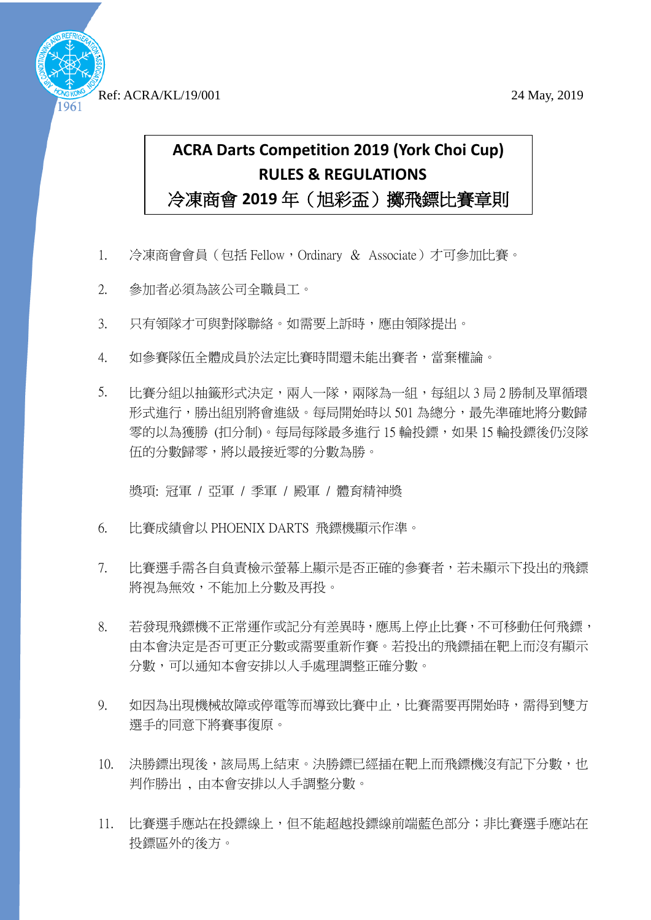

Ref: ACRA/KL/19/001 24 May, 2019

# **ACRA Darts Competition 2019 (York Choi Cup) RULES & REGULATIONS** 冷凍商會 **2019** 年(旭彩盃)擲飛鏢比賽章則

- 1. 冷凍商會會員 (包括 Fellow,Ordinary & Associate) 才可參加比賽。
- 2. 參加者必須為該公司全職員工。
- 3. 只有領隊才可與對隊聯絡。如需要上訴時,應由領隊提出。
- 4. 如參賽隊伍全體成員於法定比賽時間還未能出賽者,當棄權論。
- 5. 比賽分組以抽籤形式決定,兩人一隊,兩隊為一組,每組以 3 局 2 勝制及單循環 形式進行,勝出組別將會進級。每局開始時以 501 為總分,最先準確地將分數歸 零的以為獲勝 (扣分制)。每局每隊最多進行 15 輪投鏢,如果 15 輪投鏢後仍沒隊 伍的分數歸零,將以最接近零的分數為勝。

獎項: 冠軍 / 亞軍 / 季軍 / 殿軍 / 體育精神獎

- 6. 比賽成績會以 PHOENIX DARTS 飛鏢機顯示作準。
- 7. 比賽選手需各自負責檢示螢幕上顯示是否正確的參賽者,若未顯示下投出的飛鏢 將視為無效,不能加上分數及再投。
- 8. 若發現飛鏢機不正常運作或記分有差異時,應馬上停止比賽,不可移動任何飛鏢, 由本會決定是否可更正分數或需要重新作賽。若投出的飛鏢插在靶上而沒有顯示 分數,可以通知本會安排以人手處理調整正確分數。
- 9. 如因為出現機械故障或停電等而導致比賽中止,比賽需要再開始時,需得到雙方 選手的同意下將賽事復原。
- 10. 決勝鏢出現後,該局馬上結束。決勝鏢已經插在靶上而飛鏢機沒有記下分數,也 判作勝出 , 由本會安排以人手調整分數。
- 11. 比賽選手應站在投鏢線上,但不能超越投鏢線前端藍色部分;非比賽選手應站在 投鏢區外的後方。